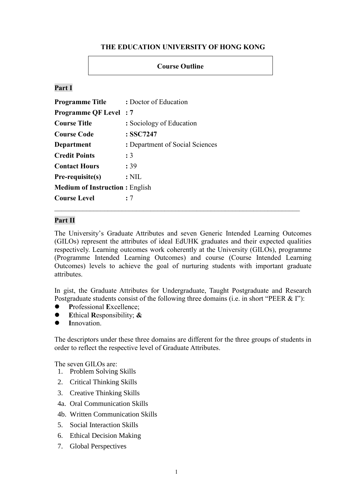### **THE EDUCATION UNIVERSITY OF HONG KONG**

### **Course Outline**

### **Part I**

| <b>Programme Title</b>                | : Doctor of Education           |  |
|---------------------------------------|---------------------------------|--|
| <b>Programme QF Level: 7</b>          |                                 |  |
| <b>Course Title</b>                   | : Sociology of Education        |  |
| <b>Course Code</b>                    | : SSC7247                       |  |
| Department                            | : Department of Social Sciences |  |
| <b>Credit Points</b>                  | : 3                             |  |
| <b>Contact Hours</b>                  | : 39                            |  |
| Pre-requisite(s)                      | $:$ NIL                         |  |
| <b>Medium of Instruction: English</b> |                                 |  |
| <b>Course Level</b>                   | : 7                             |  |

#### **Part II**

The University's Graduate Attributes and seven Generic Intended Learning Outcomes (GILOs) represent the attributes of ideal EdUHK graduates and their expected qualities respectively. Learning outcomes work coherently at the University (GILOs), programme (Programme Intended Learning Outcomes) and course (Course Intended Learning Outcomes) levels to achieve the goal of nurturing students with important graduate attributes.

In gist, the Graduate Attributes for Undergraduate, Taught Postgraduate and Research Postgraduate students consist of the following three domains (i.e. in short "PEER & I"):

- **P**rofessional **E**xcellence;
- **E**thical **R**esponsibility; **&**
- **I**nnovation.

The descriptors under these three domains are different for the three groups of students in order to reflect the respective level of Graduate Attributes.

The seven GILOs are:

- 1. Problem Solving Skills
- 2. Critical Thinking Skills
- 3. Creative Thinking Skills
- 4a. Oral Communication Skills
- 4b. Written Communication Skills
- 5. Social Interaction Skills
- 6. Ethical Decision Making
- 7. Global Perspectives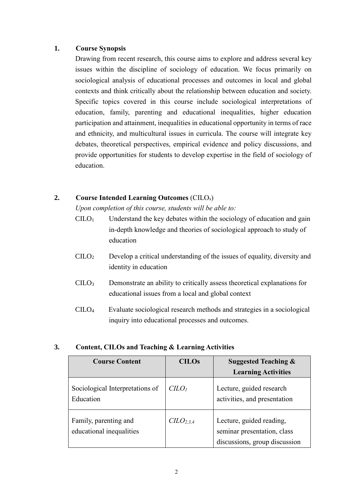### **1. Course Synopsis**

Drawing from recent research, this course aims to explore and address several key issues within the discipline of sociology of education. We focus primarily on sociological analysis of educational processes and outcomes in local and global contexts and think critically about the relationship between education and society. Specific topics covered in this course include sociological interpretations of education, family, parenting and educational inequalities, higher education participation and attainment, inequalities in educational opportunity in terms of race and ethnicity, and multicultural issues in curricula. The course will integrate key debates, theoretical perspectives, empirical evidence and policy discussions, and provide opportunities for students to develop expertise in the field of sociology of education.

# **2. Course Intended Learning Outcomes** (CILOs)

*Upon completion of this course, students will be able to:*

- $C I L O<sub>1</sub>$  Understand the key debates within the sociology of education and gain in-depth knowledge and theories of sociological approach to study of education
- CILO<sup>2</sup> Develop a critical understanding of the issues of equality, diversity and identity in education
- CILO<sup>3</sup> Demonstrate an ability to critically assess theoretical explanations for educational issues from a local and global context
- CILO4 Evaluate sociological research methods and strategies in a sociological inquiry into educational processes and outcomes.

### **3. Content, CILOs and Teaching & Learning Activities**

| <b>Course Content</b>                             | <b>CILOs</b>                      | <b>Suggested Teaching &amp;</b>                                                          |  |
|---------------------------------------------------|-----------------------------------|------------------------------------------------------------------------------------------|--|
|                                                   |                                   | <b>Learning Activities</b>                                                               |  |
| Sociological Interpretations of<br>Education      | C <sub>LO<sub>1</sub></sub>       | Lecture, guided research<br>activities, and presentation                                 |  |
| Family, parenting and<br>educational inequalities | C <sub>L</sub> O <sub>2,3,4</sub> | Lecture, guided reading,<br>seminar presentation, class<br>discussions, group discussion |  |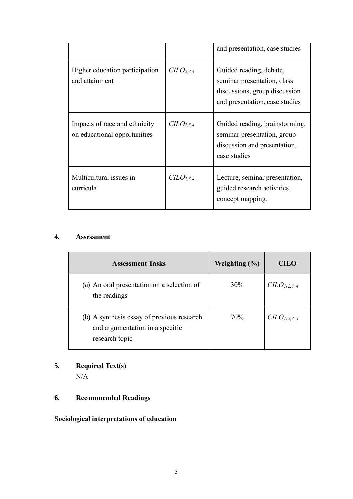|                                                               |                                   | and presentation, case studies                                                                                            |  |
|---------------------------------------------------------------|-----------------------------------|---------------------------------------------------------------------------------------------------------------------------|--|
| Higher education participation<br>and attainment              | C <sub>L</sub> O <sub>2,3,4</sub> | Guided reading, debate,<br>seminar presentation, class<br>discussions, group discussion<br>and presentation, case studies |  |
| Impacts of race and ethnicity<br>on educational opportunities | $CLO$ <sub>2.3.4</sub>            | Guided reading, brainstorming,<br>seminar presentation, group<br>discussion and presentation,<br>case studies             |  |
| Multicultural issues in<br>curricula                          | C <sub>L</sub> O <sub>2,3,4</sub> | Lecture, seminar presentation,<br>guided research activities,<br>concept mapping.                                         |  |

### **4. Assessment**

| <b>Assessment Tasks</b>                                                                         | Weighting $(\% )$ | CILO                   |
|-------------------------------------------------------------------------------------------------|-------------------|------------------------|
| (a) An oral presentation on a selection of<br>the readings                                      | 30%               | $CLO_{1,2,3,4}$        |
| (b) A synthesis essay of previous research<br>and argumentation in a specific<br>research topic | 70%               | CLO <sub>1,2,3,4</sub> |

# **5. Required Text(s)**

N/A

# **6. Recommended Readings**

# **Sociological interpretations of education**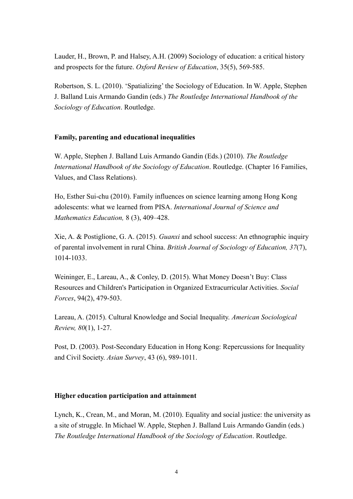Lauder, H., Brown, P. and Halsey, A.H. (2009) Sociology of education: a critical history and prospects for the future. *Oxford Review of Education*, 35(5), 569-585.

Robertson, S. L. (2010). 'Spatializing' the Sociology of Education. In W. Apple, Stephen J. Balland Luis Armando Gandin (eds.) *The Routledge International Handbook of the Sociology of Education*. Routledge.

### **Family, parenting and educational inequalities**

W. Apple, Stephen J. Balland Luis Armando Gandin (Eds.) (2010). *The Routledge International Handbook of the Sociology of Education*. Routledge. (Chapter 16 Families, Values, and Class Relations).

Ho, Esther Sui-chu (2010). Family influences on science learning among Hong Kong adolescents: what we learned from PISA. *[International Journal of Science and](https://link.springer.com/journal/10763)  [Mathematics Education,](https://link.springer.com/journal/10763)* 8 (3), 409–428.

Xie, A. & Postiglione, G. A. (2015). *Guanxi* and school success: An ethnographic inquiry of parental involvement in rural China. *British Journal of Sociology of Education, 37*(7), 1014-1033.

Weininger, E., Lareau, A., & Conley, D. (2015). What Money Doesn't Buy: Class Resources and Children's Participation in Organized Extracurricular Activities. *Social Forces*, 94(2), 479-503.

Lareau, A. (2015). Cultural Knowledge and Social Inequality. *American Sociological Review, 80*(1), 1-27.

Post, D. (2003). Post-Secondary Education in Hong Kong: Repercussions for Inequality and Civil Society. *Asian Survey*, 43 (6), 989-1011.

#### **Higher education participation and attainment**

Lynch, K., Crean, M., and Moran, M. (2010). Equality and social justice: the university as a site of struggle. In Michael W. Apple, Stephen J. Balland Luis Armando Gandin (eds.) *The Routledge International Handbook of the Sociology of Education*. Routledge.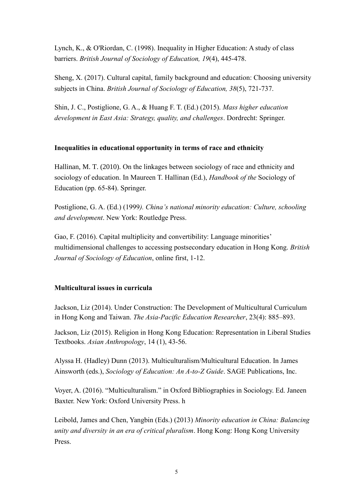Lynch, K., & O'Riordan, C. (1998). Inequality in Higher Education: A study of class barriers. *British Journal of Sociology of Education, 19*(4), 445-478.

Sheng, X. (2017). Cultural capital, family background and education: Choosing university subjects in China. *British Journal of Sociology of Education, 38*(5), 721-737.

Shin, J. C., Postiglione, G. A., & Huang F. T. (Ed.) (2015). *Mass higher education development in East Asia: Strategy, quality, and challenges*. Dordrecht: Springer.

# **Inequalities in educational opportunity in terms of race and ethnicity**

Hallinan, M. T. (2010). On the linkages between sociology of race and ethnicity and sociology of education. In Maureen T. Hallinan (Ed.), *Handbook of the* Sociology of Education (pp. 65-84). Springer.

Postiglione, G. A. (Ed.) (1999*). China's national minority education: Culture, schooling and development*. New York: Routledge Press.

Gao, F. (2016). Capital multiplicity and convertibility: Language minorities' multidimensional challenges to accessing postsecondary education in Hong Kong. *British Journal of Sociology of Education*, online first, 1-12.

# **Multicultural issues in curricula**

Jackson, Liz (2014). Under Construction: The Development of Multicultural Curriculum in Hong Kong and Taiwan. *The Asia-Pacific Education Researcher*, 23(4): 885–893.

Jackson, Liz (2015). Religion in Hong Kong Education: Representation in Liberal Studies Textbooks. *Asian Anthropology*, 14 (1), 43-56.

Alyssa H. (Hadley) Dunn (2013). Multiculturalism/Multicultural Education. In [James](javascript:void(0);)  [Ainsworth](javascript:void(0);) (eds.), *[Sociology of Education: An A-to-Z Guide](http://sk.sagepub.com/reference/sociology-of-education)*. SAGE Publications, Inc.

Voyer, A. (2016). "Multiculturalism." in Oxford Bibliographies in Sociology. Ed. Janeen Baxter. New York: Oxford University Press. h

Leibold, James and Chen, Yangbin (Eds.) (2013) *Minority education in China: Balancing unity and diversity in an era of critical pluralism*. Hong Kong: Hong Kong University Press.